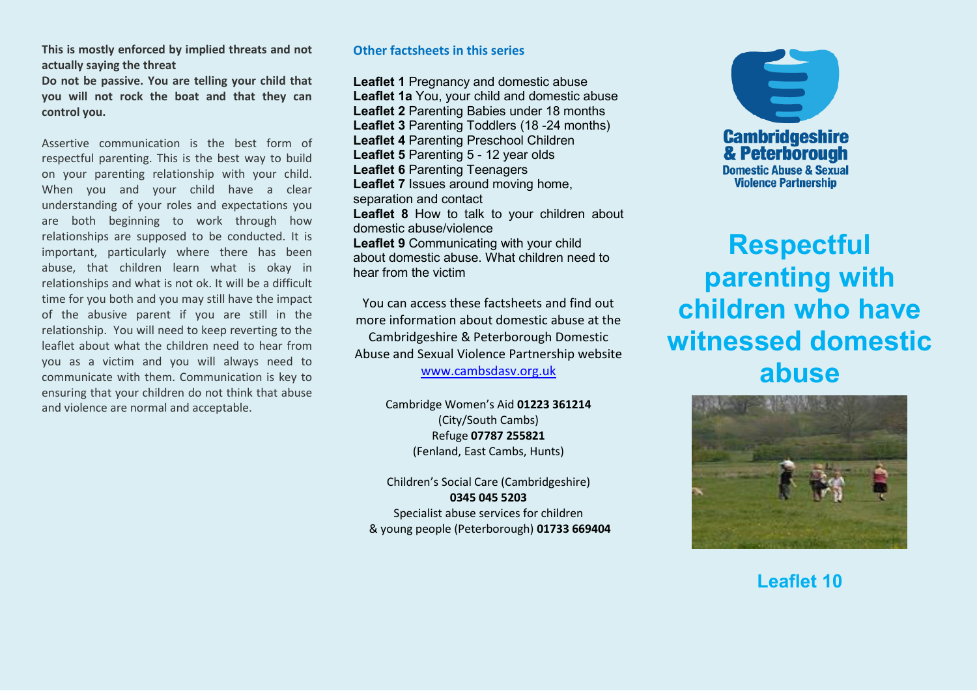**This is mostly enforced by implied threats and not actually saying the threat** 

**Do not be passive. You are telling your child that you will not rock the boat and that they can control you.** 

Assertive communication is the best form of respectful parenting. This is the best way to build on your parenting relationship with your child. When you and your child have a clear understanding of your roles and expectations you are both beginning to work through how relationships are supposed to be conducted. It is important, particularly where there has been abuse, that children learn what is okay in relationships and what is not ok. It will be a difficult time for you both and you may still have the impact of the abusive parent if you are still in the relationship. You will need to keep reverting to the leaflet about what the children need to hear from you as a victim and you will always need to communicate with them. Communication is key to ensuring that your children do not think that abuse and violence are normal and acceptable.

## **Other factsheets in this series**

**Leaflet 1** Pregnancy and domestic abuse **Leaflet 1a** You, your child and domestic abuse **Leaflet 2** Parenting Babies under 18 months **Leaflet 3** Parenting Toddlers (18 -24 months) **Leaflet 4** Parenting Preschool Children **Leaflet 5** Parenting 5 - 12 year olds **Leaflet 6** Parenting Teenagers **Leaflet 7** Issues around moving home, separation and contact **Leaflet 8** How to talk to your children about domestic abuse/violence **Leaflet 9** Communicating with your child about domestic abuse. What children need to hear from the victim

You can access these factsheets and find out more information about domestic abuse at the

Cambridgeshire & Peterborough Domestic Abuse and Sexual Violence Partnership website

[www.cambsdasv.org.uk](http://www.cambsdasv.org.uk/) 

Cambridge Women's Aid 01223 361214 (City/South Cambs) Refuge **07787 255821**  (Fenland, East Cambs, Hunts)

Children's Social Care (Cambridgeshire) **0345 045 5203**  Specialist abuse services for children & young people (Peterborough) **01733 669404** 



## **Respectful parenting with children who have witnessed domestic abuse**



**Leaflet 10**